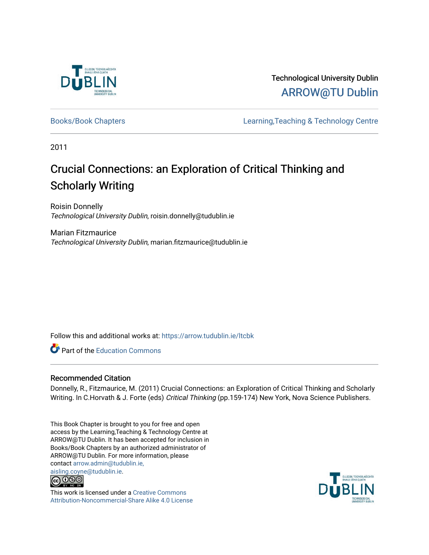

Technological University Dublin [ARROW@TU Dublin](https://arrow.tudublin.ie/) 

[Books/Book Chapters](https://arrow.tudublin.ie/ltcbk) [Learning,Teaching & Technology Centre](https://arrow.tudublin.ie/ltc) 

2011

# Crucial Connections: an Exploration of Critical Thinking and Scholarly Writing

Roisin Donnelly Technological University Dublin, roisin.donnelly@tudublin.ie

Marian Fitzmaurice Technological University Dublin, marian.fitzmaurice@tudublin.ie

Follow this and additional works at: [https://arrow.tudublin.ie/ltcbk](https://arrow.tudublin.ie/ltcbk?utm_source=arrow.tudublin.ie%2Fltcbk%2F3&utm_medium=PDF&utm_campaign=PDFCoverPages) 

**C** Part of the [Education Commons](http://network.bepress.com/hgg/discipline/784?utm_source=arrow.tudublin.ie%2Fltcbk%2F3&utm_medium=PDF&utm_campaign=PDFCoverPages)

# Recommended Citation

Donnelly, R., Fitzmaurice, M. (2011) Crucial Connections: an Exploration of Critical Thinking and Scholarly Writing. In C.Horvath & J. Forte (eds) Critical Thinking (pp.159-174) New York, Nova Science Publishers.

This Book Chapter is brought to you for free and open access by the Learning,Teaching & Technology Centre at ARROW@TU Dublin. It has been accepted for inclusion in Books/Book Chapters by an authorized administrator of ARROW@TU Dublin. For more information, please contact [arrow.admin@tudublin.ie,](mailto:arrow.admin@tudublin.ie,%20aisling.coyne@tudublin.ie) 



This work is licensed under a [Creative Commons](http://creativecommons.org/licenses/by-nc-sa/4.0/) [Attribution-Noncommercial-Share Alike 4.0 License](http://creativecommons.org/licenses/by-nc-sa/4.0/)

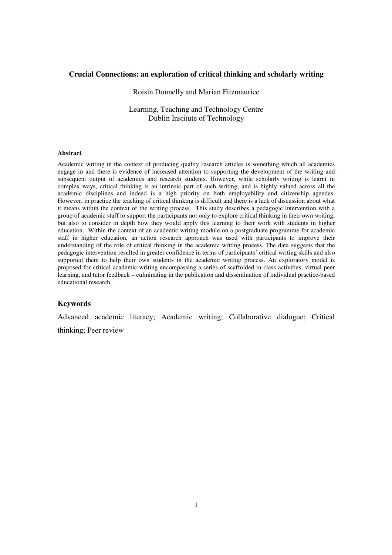#### **Crucial Connections: an exploration of critical thinking and scholarly writing**

#### Roisin Donnelly and Marian Fitzmaurice

Learning, Teaching and Technology Centre Dublin Institute of Technology

#### **Abstract**

Academic writing in the context of producing quality research articles is something which all academics engage in and there is evidence of increased attention to supporting the development of the writing and subsequent output of academics and research students. However, while scholarly writing is learnt in complex ways, critical thinking is an intrinsic part of such writing, and is highly valued across all the academic disciplines and indeed is a high priority on both employability and citizenship agendas. However, in practice the teaching of critical thinking is difficult and there is a lack of discussion about what it means within the context of the writing process. This study describes a pedagogic intervention with a group of academic staff to support the participants not only to explore critical thinking in their own writing, but also to consider in depth how they would apply this learning to their work with students in higher education. Within the context of an academic writing module on a postgraduate programme for academic staff in higher education, an action research approach was used with participants to improve their understanding of the role of critical thinking in the academic writing process. The data suggests that the pedagogic intervention resulted in greater confidence in terms of participants' critical writing skills and also supported them to help their own students in the academic writing process. An exploratory model is proposed for critical academic writing encompassing a series of scaffolded in-class activities, virtual peer learning, and tutor feedback – culminating in the publication and dissemination of individual practice-based educational research.

#### **Keywords**

Advanced academic literacy; Academic writing; Collaborative dialogue; Critical thinking; Peer review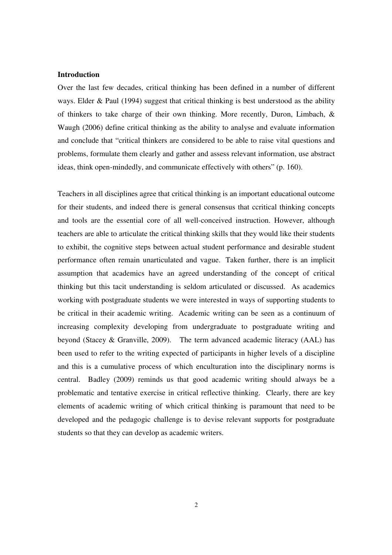#### **Introduction**

Over the last few decades, critical thinking has been defined in a number of different ways. Elder & Paul (1994) suggest that critical thinking is best understood as the ability of thinkers to take charge of their own thinking. More recently, Duron, Limbach, & Waugh (2006) define critical thinking as the ability to analyse and evaluate information and conclude that "critical thinkers are considered to be able to raise vital questions and problems, formulate them clearly and gather and assess relevant information, use abstract ideas, think open-mindedly, and communicate effectively with others" (p. 160).

Teachers in all disciplines agree that critical thinking is an important educational outcome for their students, and indeed there is general consensus that ccritical thinking concepts and tools are the essential core of all well-conceived instruction. However, although teachers are able to articulate the critical thinking skills that they would like their students to exhibit, the cognitive steps between actual student performance and desirable student performance often remain unarticulated and vague. Taken further, there is an implicit assumption that academics have an agreed understanding of the concept of critical thinking but this tacit understanding is seldom articulated or discussed. As academics working with postgraduate students we were interested in ways of supporting students to be critical in their academic writing. Academic writing can be seen as a continuum of increasing complexity developing from undergraduate to postgraduate writing and beyond (Stacey & Granville, 2009). The term advanced academic literacy (AAL) has been used to refer to the writing expected of participants in higher levels of a discipline and this is a cumulative process of which enculturation into the disciplinary norms is central. Badley (2009) reminds us that good academic writing should always be a problematic and tentative exercise in critical reflective thinking. Clearly, there are key elements of academic writing of which critical thinking is paramount that need to be developed and the pedagogic challenge is to devise relevant supports for postgraduate students so that they can develop as academic writers.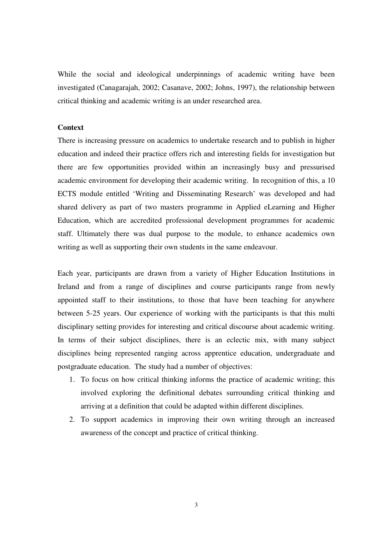While the social and ideological underpinnings of academic writing have been investigated (Canagarajah, 2002; Casanave, 2002; Johns, 1997), the relationship between critical thinking and academic writing is an under researched area.

# **Context**

There is increasing pressure on academics to undertake research and to publish in higher education and indeed their practice offers rich and interesting fields for investigation but there are few opportunities provided within an increasingly busy and pressurised academic environment for developing their academic writing. In recognition of this, a 10 ECTS module entitled 'Writing and Disseminating Research' was developed and had shared delivery as part of two masters programme in Applied eLearning and Higher Education, which are accredited professional development programmes for academic staff. Ultimately there was dual purpose to the module, to enhance academics own writing as well as supporting their own students in the same endeavour.

Each year, participants are drawn from a variety of Higher Education Institutions in Ireland and from a range of disciplines and course participants range from newly appointed staff to their institutions, to those that have been teaching for anywhere between 5-25 years. Our experience of working with the participants is that this multi disciplinary setting provides for interesting and critical discourse about academic writing. In terms of their subject disciplines, there is an eclectic mix, with many subject disciplines being represented ranging across apprentice education, undergraduate and postgraduate education. The study had a number of objectives:

- 1. To focus on how critical thinking informs the practice of academic writing; this involved exploring the definitional debates surrounding critical thinking and arriving at a definition that could be adapted within different disciplines.
- 2. To support academics in improving their own writing through an increased awareness of the concept and practice of critical thinking.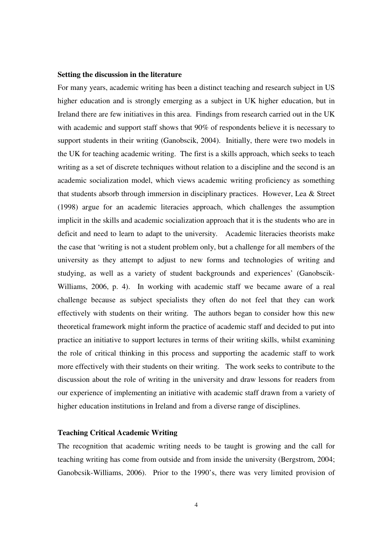#### **Setting the discussion in the literature**

For many years, academic writing has been a distinct teaching and research subject in US higher education and is strongly emerging as a subject in UK higher education, but in Ireland there are few initiatives in this area. Findings from research carried out in the UK with academic and support staff shows that 90% of respondents believe it is necessary to support students in their writing (Ganobscik, 2004). Initially, there were two models in the UK for teaching academic writing. The first is a skills approach, which seeks to teach writing as a set of discrete techniques without relation to a discipline and the second is an academic socialization model, which views academic writing proficiency as something that students absorb through immersion in disciplinary practices. However, Lea & Street (1998) argue for an academic literacies approach, which challenges the assumption implicit in the skills and academic socialization approach that it is the students who are in deficit and need to learn to adapt to the university. Academic literacies theorists make the case that 'writing is not a student problem only, but a challenge for all members of the university as they attempt to adjust to new forms and technologies of writing and studying, as well as a variety of student backgrounds and experiences' (Ganobscik-Williams, 2006, p. 4). In working with academic staff we became aware of a real challenge because as subject specialists they often do not feel that they can work effectively with students on their writing. The authors began to consider how this new theoretical framework might inform the practice of academic staff and decided to put into practice an initiative to support lectures in terms of their writing skills, whilst examining the role of critical thinking in this process and supporting the academic staff to work more effectively with their students on their writing. The work seeks to contribute to the discussion about the role of writing in the university and draw lessons for readers from our experience of implementing an initiative with academic staff drawn from a variety of higher education institutions in Ireland and from a diverse range of disciplines.

#### **Teaching Critical Academic Writing**

The recognition that academic writing needs to be taught is growing and the call for teaching writing has come from outside and from inside the university (Bergstrom, 2004; Ganobcsik-Williams, 2006). Prior to the 1990's, there was very limited provision of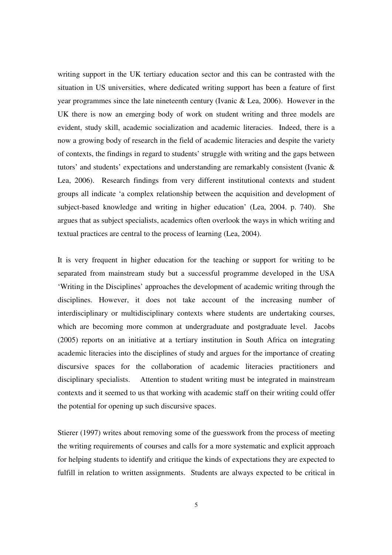writing support in the UK tertiary education sector and this can be contrasted with the situation in US universities, where dedicated writing support has been a feature of first year programmes since the late nineteenth century (Ivanic & Lea, 2006). However in the UK there is now an emerging body of work on student writing and three models are evident, study skill, academic socialization and academic literacies. Indeed, there is a now a growing body of research in the field of academic literacies and despite the variety of contexts, the findings in regard to students' struggle with writing and the gaps between tutors' and students' expectations and understanding are remarkably consistent (Ivanic & Lea, 2006). Research findings from very different institutional contexts and student groups all indicate 'a complex relationship between the acquisition and development of subject-based knowledge and writing in higher education' (Lea, 2004. p. 740). She argues that as subject specialists, academics often overlook the ways in which writing and textual practices are central to the process of learning (Lea, 2004).

It is very frequent in higher education for the teaching or support for writing to be separated from mainstream study but a successful programme developed in the USA 'Writing in the Disciplines' approaches the development of academic writing through the disciplines. However, it does not take account of the increasing number of interdisciplinary or multidisciplinary contexts where students are undertaking courses, which are becoming more common at undergraduate and postgraduate level. Jacobs (2005) reports on an initiative at a tertiary institution in South Africa on integrating academic literacies into the disciplines of study and argues for the importance of creating discursive spaces for the collaboration of academic literacies practitioners and disciplinary specialists. Attention to student writing must be integrated in mainstream contexts and it seemed to us that working with academic staff on their writing could offer the potential for opening up such discursive spaces.

Stierer (1997) writes about removing some of the guesswork from the process of meeting the writing requirements of courses and calls for a more systematic and explicit approach for helping students to identify and critique the kinds of expectations they are expected to fulfill in relation to written assignments. Students are always expected to be critical in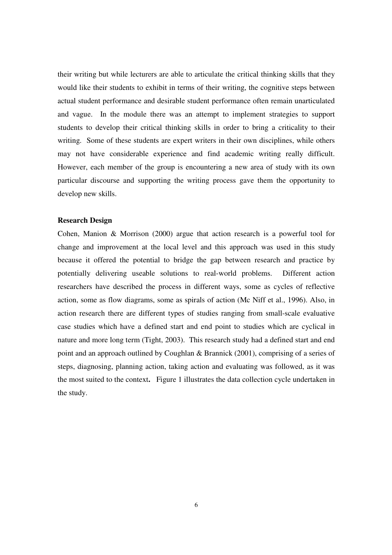their writing but while lecturers are able to articulate the critical thinking skills that they would like their students to exhibit in terms of their writing, the cognitive steps between actual student performance and desirable student performance often remain unarticulated and vague. In the module there was an attempt to implement strategies to support students to develop their critical thinking skills in order to bring a criticality to their writing. Some of these students are expert writers in their own disciplines, while others may not have considerable experience and find academic writing really difficult. However, each member of the group is encountering a new area of study with its own particular discourse and supporting the writing process gave them the opportunity to develop new skills.

# **Research Design**

Cohen, Manion & Morrison (2000) argue that action research is a powerful tool for change and improvement at the local level and this approach was used in this study because it offered the potential to bridge the gap between research and practice by potentially delivering useable solutions to real-world problems. Different action researchers have described the process in different ways, some as cycles of reflective action, some as flow diagrams, some as spirals of action (Mc Niff et al., 1996). Also, in action research there are different types of studies ranging from small-scale evaluative case studies which have a defined start and end point to studies which are cyclical in nature and more long term (Tight, 2003). This research study had a defined start and end point and an approach outlined by Coughlan & Brannick (2001), comprising of a series of steps, diagnosing, planning action, taking action and evaluating was followed, as it was the most suited to the context**.** Figure 1 illustrates the data collection cycle undertaken in the study.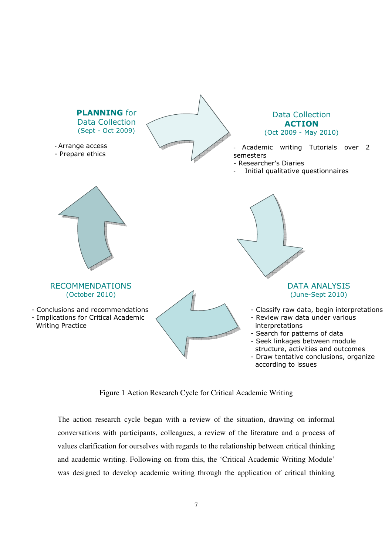

Figure 1 Action Research Cycle for Critical Academic Writing

The action research cycle began with a review of the situation, drawing on informal conversations with participants, colleagues, a review of the literature and a process of values clarification for ourselves with regards to the relationship between critical thinking and academic writing. Following on from this, the 'Critical Academic Writing Module' was designed to develop academic writing through the application of critical thinking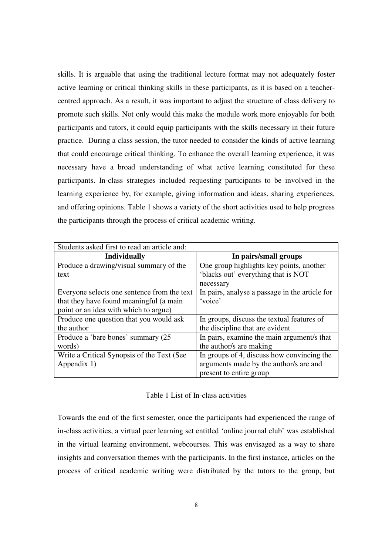skills. It is arguable that using the traditional lecture format may not adequately foster active learning or critical thinking skills in these participants, as it is based on a teachercentred approach. As a result, it was important to adjust the structure of class delivery to promote such skills. Not only would this make the module work more enjoyable for both participants and tutors, it could equip participants with the skills necessary in their future practice. During a class session, the tutor needed to consider the kinds of active learning that could encourage critical thinking. To enhance the overall learning experience, it was necessary have a broad understanding of what active learning constituted for these participants. In-class strategies included requesting participants to be involved in the learning experience by, for example, giving information and ideas, sharing experiences, and offering opinions. Table 1 shows a variety of the short activities used to help progress the participants through the process of critical academic writing.

| Students asked first to read an article and: |                                                |
|----------------------------------------------|------------------------------------------------|
| <b>Individually</b>                          | In pairs/small groups                          |
| Produce a drawing/visual summary of the      | One group highlights key points, another       |
| text                                         | 'blacks out' everything that is NOT            |
|                                              | necessary                                      |
| Everyone selects one sentence from the text  | In pairs, analyse a passage in the article for |
| that they have found meaningful (a main      | 'voice'                                        |
| point or an idea with which to argue)        |                                                |
| Produce one question that you would ask      | In groups, discuss the textual features of     |
| the author                                   | the discipline that are evident                |
| Produce a 'bare bones' summary (25)          | In pairs, examine the main argument/s that     |
| words)                                       | the author/s are making                        |
| Write a Critical Synopsis of the Text (See   | In groups of 4, discuss how convincing the     |
| Appendix 1)                                  | arguments made by the author/s are and         |
|                                              | present to entire group                        |

# Table 1 List of In-class activities

Towards the end of the first semester, once the participants had experienced the range of in-class activities, a virtual peer learning set entitled 'online journal club' was established in the virtual learning environment, webcourses. This was envisaged as a way to share insights and conversation themes with the participants. In the first instance, articles on the process of critical academic writing were distributed by the tutors to the group, but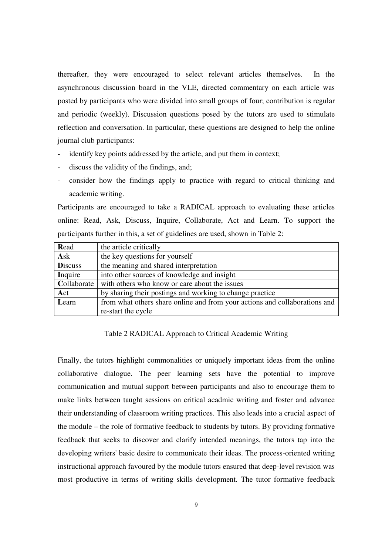thereafter, they were encouraged to select relevant articles themselves. In the asynchronous discussion board in the VLE, directed commentary on each article was posted by participants who were divided into small groups of four; contribution is regular and periodic (weekly). Discussion questions posed by the tutors are used to stimulate reflection and conversation. In particular, these questions are designed to help the online journal club participants:

- identify key points addressed by the article, and put them in context;
- discuss the validity of the findings, and;
- consider how the findings apply to practice with regard to critical thinking and academic writing.

Participants are encouraged to take a RADICAL approach to evaluating these articles online: Read, Ask, Discuss, Inquire, Collaborate, Act and Learn. To support the participants further in this, a set of guidelines are used, shown in Table 2:

| Read           | the article critically                                                     |
|----------------|----------------------------------------------------------------------------|
| Ask            | the key questions for yourself                                             |
| <b>Discuss</b> | the meaning and shared interpretation                                      |
| Inquire        | into other sources of knowledge and insight                                |
| Collaborate    | with others who know or care about the issues                              |
| Act            | by sharing their postings and working to change practice                   |
| Learn          | from what others share online and from your actions and collaborations and |
|                | re-start the cycle                                                         |

Table 2 RADICAL Approach to Critical Academic Writing

Finally, the tutors highlight commonalities or uniquely important ideas from the online collaborative dialogue. The peer learning sets have the potential to improve communication and mutual support between participants and also to encourage them to make links between taught sessions on critical acadmic writing and foster and advance their understanding of classroom writing practices. This also leads into a crucial aspect of the module – the role of formative feedback to students by tutors. By providing formative feedback that seeks to discover and clarify intended meanings, the tutors tap into the developing writers' basic desire to communicate their ideas. The process-oriented writing instructional approach favoured by the module tutors ensured that deep-level revision was most productive in terms of writing skills development. The tutor formative feedback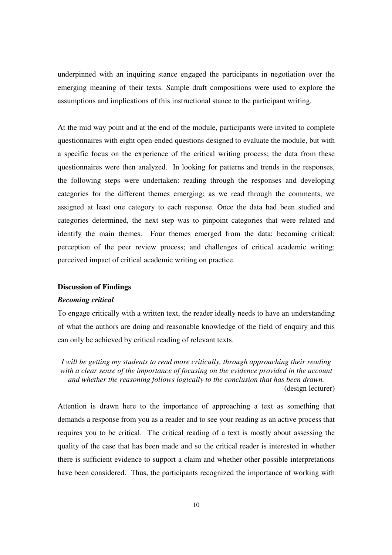underpinned with an inquiring stance engaged the participants in negotiation over the emerging meaning of their texts. Sample draft compositions were used to explore the assumptions and implications of this instructional stance to the participant writing.

At the mid way point and at the end of the module, participants were invited to complete questionnaires with eight open-ended questions designed to evaluate the module, but with a specific focus on the experience of the critical writing process; the data from these questionnaires were then analyzed. In looking for patterns and trends in the responses, the following steps were undertaken: reading through the responses and developing categories for the different themes emerging; as we read through the comments, we assigned at least one category to each response. Once the data had been studied and categories determined, the next step was to pinpoint categories that were related and identify the main themes. Four themes emerged from the data: becoming critical; perception of the peer review process; and challenges of critical academic writing; perceived impact of critical academic writing on practice.

# **Discussion of Findings**

# *Becoming critical*

To engage critically with a written text, the reader ideally needs to have an understanding of what the authors are doing and reasonable knowledge of the field of enquiry and this can only be achieved by critical reading of relevant texts.

*I will be getting my students to read more critically, through approaching their reading with a clear sense of the importance of focusing on the evidence provided in the account and whether the reasoning follows logically to the conclusion that has been drawn.*  (design lecturer)

Attention is drawn here to the importance of approaching a text as something that demands a response from you as a reader and to see your reading as an active process that requires you to be critical. The critical reading of a text is mostly about assessing the quality of the case that has been made and so the critical reader is interested in whether there is sufficient evidence to support a claim and whether other possible interpretations have been considered. Thus, the participants recognized the importance of working with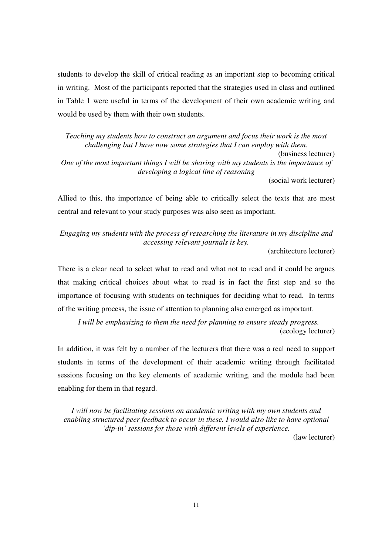students to develop the skill of critical reading as an important step to becoming critical in writing. Most of the participants reported that the strategies used in class and outlined in Table 1 were useful in terms of the development of their own academic writing and would be used by them with their own students.

*Teaching my students how to construct an argument and focus their work is the most challenging but I have now some strategies that I can employ with them.* 

(business lecturer)

*One of the most important things I will be sharing with my students is the importance of developing a logical line of reasoning* 

(social work lecturer)

Allied to this, the importance of being able to critically select the texts that are most central and relevant to your study purposes was also seen as important.

*Engaging my students with the process of researching the literature in my discipline and accessing relevant journals is key.* 

(architecture lecturer)

There is a clear need to select what to read and what not to read and it could be argues that making critical choices about what to read is in fact the first step and so the importance of focusing with students on techniques for deciding what to read. In terms of the writing process, the issue of attention to planning also emerged as important.

 *I will be emphasizing to them the need for planning to ensure steady progress.*  (ecology lecturer)

In addition, it was felt by a number of the lecturers that there was a real need to support students in terms of the development of their academic writing through facilitated sessions focusing on the key elements of academic writing, and the module had been enabling for them in that regard.

*I* will now be facilitating sessions on academic writing with my own students and *enabling structured peer feedback to occur in these. I would also like to have optional 'dip-in' sessions for those with different levels of experience.* 

(law lecturer)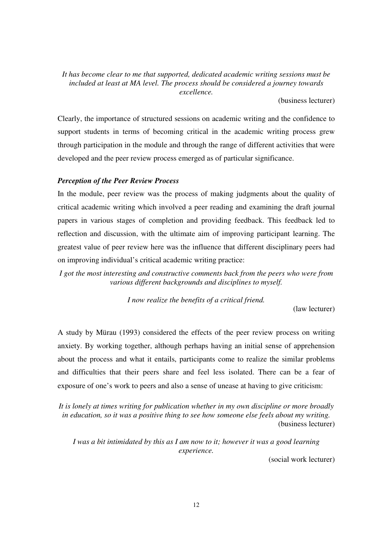*It has become clear to me that supported, dedicated academic writing sessions must be included at least at MA level. The process should be considered a journey towards excellence.*

(business lecturer)

Clearly, the importance of structured sessions on academic writing and the confidence to support students in terms of becoming critical in the academic writing process grew through participation in the module and through the range of different activities that were developed and the peer review process emerged as of particular significance.

#### *Perception of the Peer Review Process*

In the module, peer review was the process of making judgments about the quality of critical academic writing which involved a peer reading and examining the draft journal papers in various stages of completion and providing feedback. This feedback led to reflection and discussion, with the ultimate aim of improving participant learning. The greatest value of peer review here was the influence that different disciplinary peers had on improving individual's critical academic writing practice:

*I got the most interesting and constructive comments back from the peers who were from various different backgrounds and disciplines to myself.* 

*I now realize the benefits of a critical friend.* 

(law lecturer)

A study by Mürau (1993) considered the effects of the peer review process on writing anxiety. By working together, although perhaps having an initial sense of apprehension about the process and what it entails, participants come to realize the similar problems and difficulties that their peers share and feel less isolated. There can be a fear of exposure of one's work to peers and also a sense of unease at having to give criticism:

*It is lonely at times writing for publication whether in my own discipline or more broadly in education, so it was a positive thing to see how someone else feels about my writing.*  (business lecturer)

*I was a bit intimidated by this as I am now to it; however it was a good learning experience.* 

(social work lecturer)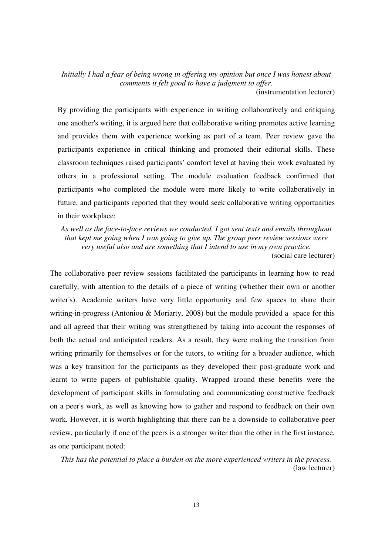*Initially I had a fear of being wrong in offering my opinion but once I was honest about comments it felt good to have a judgment to offer.*  (instrumentation lecturer)

By providing the participants with experience in writing collaboratively and critiquing one another's writing, it is argued here that collaborative writing promotes active learning and provides them with experience working as part of a team. Peer review gave the participants experience in critical thinking and promoted their editorial skills. These classroom techniques raised participants' comfort level at having their work evaluated by others in a professional setting. The module evaluation feedback confirmed that participants who completed the module were more likely to write collaboratively in future, and participants reported that they would seek collaborative writing opportunities in their workplace:

*As well as the face-to-face reviews we conducted, I got sent texts and emails throughout that kept me going when I was going to give up. The group peer review sessions were very useful also and are something that I intend to use in my own practice.*  (social care lecturer)

The collaborative peer review sessions facilitated the participants in learning how to read carefully, with attention to the details of a piece of writing (whether their own or another writer's). Academic writers have very little opportunity and few spaces to share their writing-in-progress (Antoniou & Moriarty, 2008) but the module provided a space for this and all agreed that their writing was strengthened by taking into account the responses of both the actual and anticipated readers. As a result, they were making the transition from writing primarily for themselves or for the tutors, to writing for a broader audience, which was a key transition for the participants as they developed their post-graduate work and learnt to write papers of publishable quality. Wrapped around these benefits were the development of participant skills in formulating and communicating constructive feedback on a peer's work, as well as knowing how to gather and respond to feedback on their own work. However, it is worth highlighting that there can be a downside to collaborative peer review, particularly if one of the peers is a stronger writer than the other in the first instance, as one participant noted:

*This has the potential to place a burden on the more experienced writers in the process.*  (law lecturer)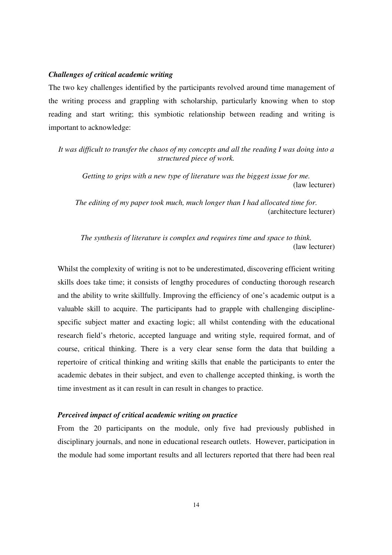# *Challenges of critical academic writing*

The two key challenges identified by the participants revolved around time management of the writing process and grappling with scholarship, particularly knowing when to stop reading and start writing; this symbiotic relationship between reading and writing is important to acknowledge:

*It was difficult to transfer the chaos of my concepts and all the reading I was doing into a structured piece of work.* 

*Getting to grips with a new type of literature was the biggest issue for me.*  (law lecturer)

*The editing of my paper took much, much longer than I had allocated time for.*  (architecture lecturer)

*The synthesis of literature is complex and requires time and space to think.*  (law lecturer)

Whilst the complexity of writing is not to be underestimated, discovering efficient writing skills does take time; it consists of lengthy procedures of conducting thorough research and the ability to write skillfully. Improving the efficiency of one's academic output is a valuable skill to acquire. The participants had to grapple with challenging disciplinespecific subject matter and exacting logic; all whilst contending with the educational research field's rhetoric, accepted language and writing style, required format, and of course, critical thinking. There is a very clear sense form the data that building a repertoire of critical thinking and writing skills that enable the participants to enter the academic debates in their subject, and even to challenge accepted thinking, is worth the time investment as it can result in can result in changes to practice.

#### *Perceived impact of critical academic writing on practice*

From the 20 participants on the module, only five had previously published in disciplinary journals, and none in educational research outlets. However, participation in the module had some important results and all lecturers reported that there had been real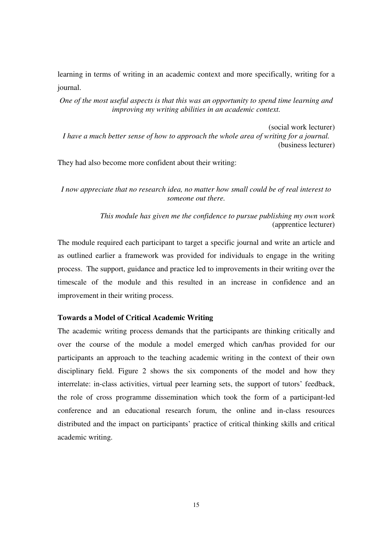learning in terms of writing in an academic context and more specifically, writing for a journal.

*One of the most useful aspects is that this was an opportunity to spend time learning and improving my writing abilities in an academic context.* 

 (social work lecturer) *I have a much better sense of how to approach the whole area of writing for a journal.*  (business lecturer)

They had also become more confident about their writing:

*I now appreciate that no research idea, no matter how small could be of real interest to someone out there.* 

> *This module has given me the confidence to pursue publishing my own work* (apprentice lecturer)

The module required each participant to target a specific journal and write an article and as outlined earlier a framework was provided for individuals to engage in the writing process. The support, guidance and practice led to improvements in their writing over the timescale of the module and this resulted in an increase in confidence and an improvement in their writing process.

# **Towards a Model of Critical Academic Writing**

The academic writing process demands that the participants are thinking critically and over the course of the module a model emerged which can/has provided for our participants an approach to the teaching academic writing in the context of their own disciplinary field. Figure 2 shows the six components of the model and how they interrelate: in-class activities, virtual peer learning sets, the support of tutors' feedback, the role of cross programme dissemination which took the form of a participant-led conference and an educational research forum, the online and in-class resources distributed and the impact on participants' practice of critical thinking skills and critical academic writing.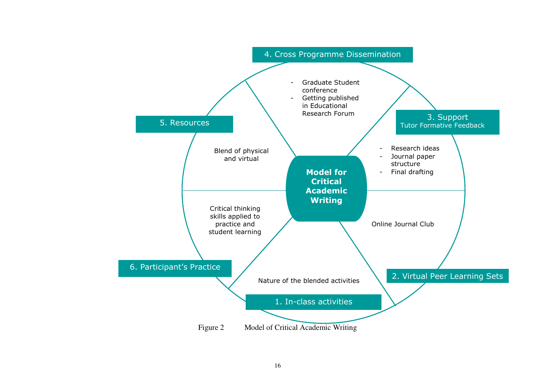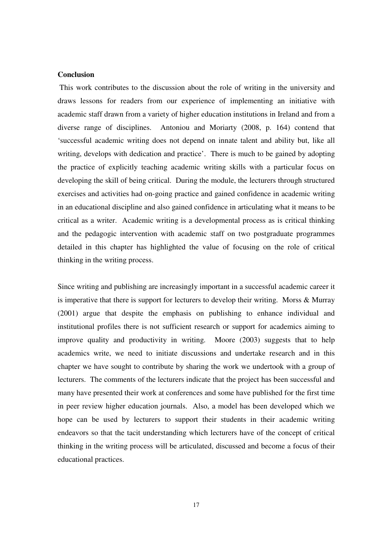# **Conclusion**

 This work contributes to the discussion about the role of writing in the university and draws lessons for readers from our experience of implementing an initiative with academic staff drawn from a variety of higher education institutions in Ireland and from a diverse range of disciplines. Antoniou and Moriarty (2008, p. 164) contend that 'successful academic writing does not depend on innate talent and ability but, like all writing, develops with dedication and practice'. There is much to be gained by adopting the practice of explicitly teaching academic writing skills with a particular focus on developing the skill of being critical. During the module, the lecturers through structured exercises and activities had on-going practice and gained confidence in academic writing in an educational discipline and also gained confidence in articulating what it means to be critical as a writer. Academic writing is a developmental process as is critical thinking and the pedagogic intervention with academic staff on two postgraduate programmes detailed in this chapter has highlighted the value of focusing on the role of critical thinking in the writing process.

Since writing and publishing are increasingly important in a successful academic career it is imperative that there is support for lecturers to develop their writing. Morss & Murray (2001) argue that despite the emphasis on publishing to enhance individual and institutional profiles there is not sufficient research or support for academics aiming to improve quality and productivity in writing. Moore (2003) suggests that to help academics write, we need to initiate discussions and undertake research and in this chapter we have sought to contribute by sharing the work we undertook with a group of lecturers. The comments of the lecturers indicate that the project has been successful and many have presented their work at conferences and some have published for the first time in peer review higher education journals. Also, a model has been developed which we hope can be used by lecturers to support their students in their academic writing endeavors so that the tacit understanding which lecturers have of the concept of critical thinking in the writing process will be articulated, discussed and become a focus of their educational practices.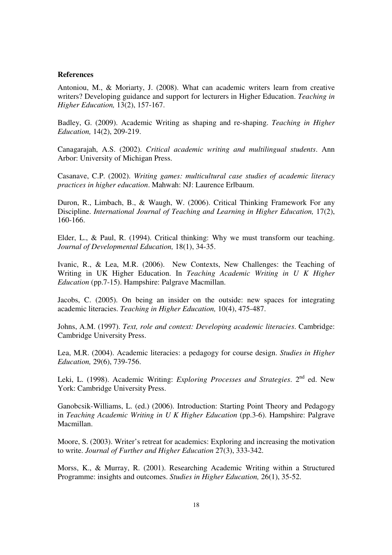# **References**

Antoniou, M., & Moriarty, J. (2008). What can academic writers learn from creative writers? Developing guidance and support for lecturers in Higher Education. *Teaching in Higher Education,* 13(2), 157-167.

Badley, G. (2009). Academic Writing as shaping and re-shaping. *Teaching in Higher Education,* 14(2), 209-219.

Canagarajah, A.S. (2002). *Critical academic writing and multilingual students*. Ann Arbor: University of Michigan Press.

Casanave, C.P. (2002). *Writing games: multicultural case studies of academic literacy practices in higher education*. Mahwah: NJ: Laurence Erlbaum.

Duron, R., Limbach, B., & Waugh, W. (2006). Critical Thinking Framework For any Discipline. *International Journal of Teaching and Learning in Higher Education*, 17(2), 160-166.

Elder, L., & Paul, R. (1994). Critical thinking: Why we must transform our teaching. *Journal of Developmental Education,* 18(1), 34-35.

Ivanic, R., & Lea, M.R. (2006). New Contexts, New Challenges: the Teaching of Writing in UK Higher Education. In *Teaching Academic Writing in U K Higher Education* (pp.7-15). Hampshire: Palgrave Macmillan.

Jacobs, C. (2005). On being an insider on the outside: new spaces for integrating academic literacies. *Teaching in Higher Education,* 10(4), 475-487.

Johns, A.M. (1997). *Text, role and context: Developing academic literacies*. Cambridge: Cambridge University Press.

Lea, M.R. (2004). Academic literacies: a pedagogy for course design. *Studies in Higher Education,* 29(6), 739-756.

Leki, L. (1998). Academic Writing: *Exploring Processes and Strategies*. 2nd ed. New York: Cambridge University Press.

Ganobcsik-Williams, L. (ed.) (2006). Introduction: Starting Point Theory and Pedagogy in *Teaching Academic Writing in U K Higher Education* (pp.3-6). Hampshire: Palgrave Macmillan.

Moore, S. (2003). Writer's retreat for academics: Exploring and increasing the motivation to write. *Journal of Further and Higher Education* 27(3), 333-342.

Morss, K., & Murray, R. (2001). Researching Academic Writing within a Structured Programme: insights and outcomes. *Studies in Higher Education,* 26(1), 35-52.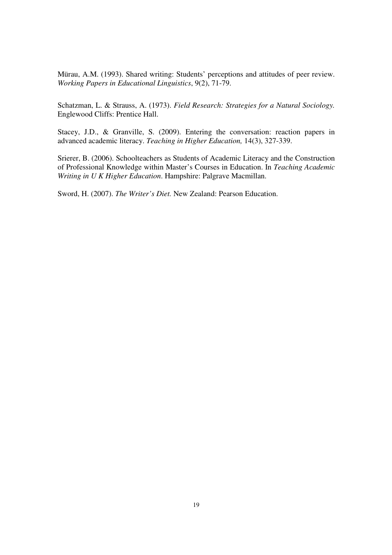Mürau, A.M. (1993). Shared writing: Students' perceptions and attitudes of peer review. *Working Papers in Educational Linguistics*, 9(2), 71-79.

Schatzman, L. & Strauss, A. (1973). *Field Research: Strategies for a Natural Sociology.* Englewood Cliffs: Prentice Hall.

Stacey, J.D., & Granville, S. (2009). Entering the conversation: reaction papers in advanced academic literacy. *Teaching in Higher Education,* 14(3), 327-339.

Srierer, B. (2006). Schoolteachers as Students of Academic Literacy and the Construction of Professional Knowledge within Master's Courses in Education. In *Teaching Academic Writing in U K Higher Education*. Hampshire: Palgrave Macmillan.

Sword, H. (2007). *The Writer's Diet.* New Zealand: Pearson Education.